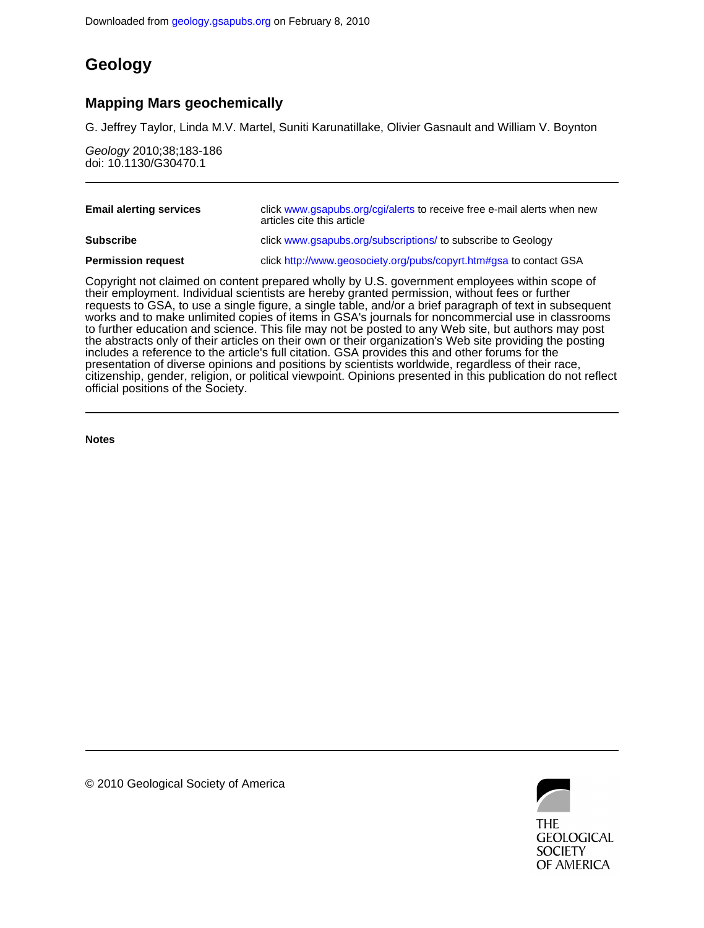## **Geology**

### **Mapping Mars geochemically**

G. Jeffrey Taylor, Linda M.V. Martel, Suniti Karunatillake, Olivier Gasnault and William V. Boynton

doi: 10.1130/G30470.1 Geology 2010;38;183-186

| <b>Email alerting services</b> | click www.gsapubs.org/cgi/alerts to receive free e-mail alerts when new<br>articles cite this article |
|--------------------------------|-------------------------------------------------------------------------------------------------------|
| <b>Subscribe</b>               | click www.gsapubs.org/subscriptions/ to subscribe to Geology                                          |
| <b>Permission request</b>      | click http://www.geosociety.org/pubs/copyrt.htm#gsa to contact GSA                                    |

official positions of the Society. citizenship, gender, religion, or political viewpoint. Opinions presented in this publication do not reflect presentation of diverse opinions and positions by scientists worldwide, regardless of their race, includes a reference to the article's full citation. GSA provides this and other forums for the the abstracts only of their articles on their own or their organization's Web site providing the posting to further education and science. This file may not be posted to any Web site, but authors may post works and to make unlimited copies of items in GSA's journals for noncommercial use in classrooms requests to GSA, to use a single figure, a single table, and/or a brief paragraph of text in subsequent their employment. Individual scientists are hereby granted permission, without fees or further Copyright not claimed on content prepared wholly by U.S. government employees within scope of

**Notes**



© 2010 Geological Society of America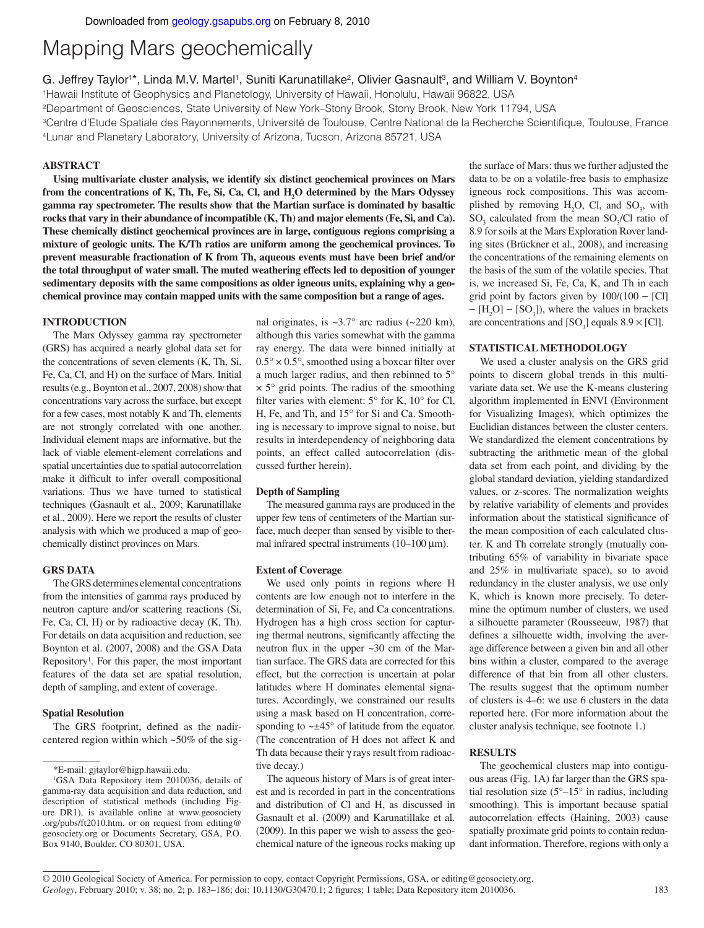# Mapping Mars geochemically

G. Jeffrey Taylor<sup>1\*</sup>, Linda M.V. Martel<sup>1</sup>, Suniti Karunatillake<sup>2</sup>, Olivier Gasnault<sup>3</sup>, and William V. Boynton<sup>4</sup>

1Hawaii Institute of Geophysics and Planetology, University of Hawaii, Honolulu, Hawaii 96822, USA

2Department of Geosciences, State University of New York–Stony Brook, Stony Brook, New York 11794, USA

<sup>3</sup>Centre d'Etude Spatiale des Rayonnements, Université de Toulouse, Centre National de la Recherche Scientifique, Toulouse, France 4Lunar and Planetary Laboratory, University of Arizona, Tucson, Arizona 85721, USA

#### **ABSTRACT**

**Using multivariate cluster analysis, we identify six distinct geochemical provinces on Mars**  from the concentrations of K, Th, Fe, Si, Ca, Cl, and H<sub>2</sub>O determined by the Mars Odyssey **gamma ray spectrometer. The results show that the Martian surface is dominated by basaltic rocks that vary in their abundance of incompatible (K, Th) and major elements (Fe, Si, and Ca). These chemically distinct geochemical provinces are in large, contiguous regions comprising a mixture of geologic units. The K/Th ratios are uniform among the geochemical provinces. To prevent measurable fractionation of K from Th, aqueous events must have been brief and/or the total throughput of water small. The muted weathering effects led to deposition of younger sedimentary deposits with the same compositions as older igneous units, explaining why a geochemical province may contain mapped units with the same composition but a range of ages.**

#### **INTRODUCTION**

The Mars Odyssey gamma ray spectrometer (GRS) has acquired a nearly global data set for the concentrations of seven elements (K, Th, Si, Fe, Ca, Cl, and H) on the surface of Mars. Initial results (e.g., Boynton et al., 2007, 2008) show that concentrations vary across the surface, but except for a few cases, most notably K and Th, elements are not strongly correlated with one another. Individual element maps are informative, but the lack of viable element-element correlations and spatial uncertainties due to spatial autocorrelation make it difficult to infer overall compositional variations. Thus we have turned to statistical techniques (Gasnault et al., 2009; Karunatillake et al., 2009). Here we report the results of cluster analysis with which we produced a map of geochemically distinct provinces on Mars.

#### **GRS DATA**

The GRS determines elemental concentrations from the intensities of gamma rays produced by neutron capture and/or scattering reactions (Si, Fe, Ca, Cl, H) or by radioactive decay (K, Th). For details on data acquisition and reduction, see Boynton et al. (2007, 2008) and the GSA Data Repository<sup>1</sup>. For this paper, the most important features of the data set are spatial resolution, depth of sampling, and extent of coverage.

#### **Spatial Resolution**

The GRS footprint, defined as the nadircentered region within which ~50% of the sig-

nal originates, is  $\sim 3.7^\circ$  arc radius ( $\sim 220$  km), although this varies somewhat with the gamma ray energy. The data were binned initially at  $0.5^{\circ} \times 0.5^{\circ}$ , smoothed using a boxcar filter over a much larger radius, and then rebinned to 5°  $\times$  5 $\degree$  grid points. The radius of the smoothing filter varies with element:  $5^{\circ}$  for K,  $10^{\circ}$  for Cl, H, Fe, and Th, and 15° for Si and Ca. Smoothing is necessary to improve signal to noise, but results in interdependency of neighboring data points, an effect called autocorrelation (discussed further herein).

#### **Depth of Sampling**

The measured gamma rays are produced in the upper few tens of centimeters of the Martian surface, much deeper than sensed by visible to thermal infrared spectral instruments (10–100 μm).

#### **Extent of Coverage**

We used only points in regions where H contents are low enough not to interfere in the determination of Si, Fe, and Ca concentrations. Hydrogen has a high cross section for capturing thermal neutrons, significantly affecting the neutron flux in the upper  $\sim 30$  cm of the Martian surface. The GRS data are corrected for this effect, but the correction is uncertain at polar latitudes where H dominates elemental signatures. Accordingly, we constrained our results using a mask based on H concentration, corresponding to  $\sim \pm 45^{\circ}$  of latitude from the equator. (The concentration of H does not affect K and Th data because their γ rays result from radioactive decay.)

The aqueous history of Mars is of great interest and is recorded in part in the concentrations and distribution of Cl and H, as discussed in Gasnault et al. (2009) and Karunatillake et al. (2009). In this paper we wish to assess the geochemical nature of the igneous rocks making up

the surface of Mars: thus we further adjusted the data to be on a volatile-free basis to emphasize igneous rock compositions. This was accomplished by removing  $H_2O$ , Cl, and  $SO_3$ , with  $SO_3$  calculated from the mean  $SO_3/Cl$  ratio of 8.9 for soils at the Mars Exploration Rover landing sites (Brückner et al., 2008), and increasing the concentrations of the remaining elements on the basis of the sum of the volatile species. That is, we increased Si, Fe, Ca, K, and Th in each grid point by factors given by  $100/(100 - [Cl])$  $-[H_2O] - [SO_3]$ ), where the values in brackets are concentrations and  $[SO_3]$  equals  $8.9 \times [CI]$ .

#### **STATISTICAL METHODOLOGY**

We used a cluster analysis on the GRS grid points to discern global trends in this multivariate data set. We use the K-means clustering algorithm implemented in ENVI (Environment for Visualizing Images), which optimizes the Euclidian distances between the cluster centers. We standardized the element concentrations by subtracting the arithmetic mean of the global data set from each point, and dividing by the global standard deviation, yielding standardized values, or z-scores. The normalization weights by relative variability of elements and provides information about the statistical significance of the mean composition of each calculated cluster. K and Th correlate strongly (mutually contributing 65% of variability in bivariate space and 25% in multivariate space), so to avoid redundancy in the cluster analysis, we use only K, which is known more precisely. To determine the optimum number of clusters, we used a silhouette parameter (Rousseeuw, 1987) that defines a silhouette width, involving the average difference between a given bin and all other bins within a cluster, compared to the average difference of that bin from all other clusters. The results suggest that the optimum number of clusters is 4–6: we use 6 clusters in the data reported here. (For more information about the cluster analysis technique, see footnote 1.)

#### **RESULTS**

The geochemical clusters map into contiguous areas (Fig. 1A) far larger than the GRS spatial resolution size  $(5^{\circ}-15^{\circ})$  in radius, including smoothing). This is important because spatial autocorrelation effects (Haining, 2003) cause spatially proximate grid points to contain redundant information. Therefore, regions with only a

<sup>\*</sup>E-mail: gjtaylor@higp.hawaii.edu.

<sup>1</sup> GSA Data Repository item 2010036, details of gamma-ray data acquisition and data reduction, and description of statistical methods (including Figure DR1), is available online at www.geosociety .org/pubs/ft2010.htm, or on request from editing@ geosociety.org or Documents Secretary, GSA, P.O. Box 9140, Boulder, CO 80301, USA.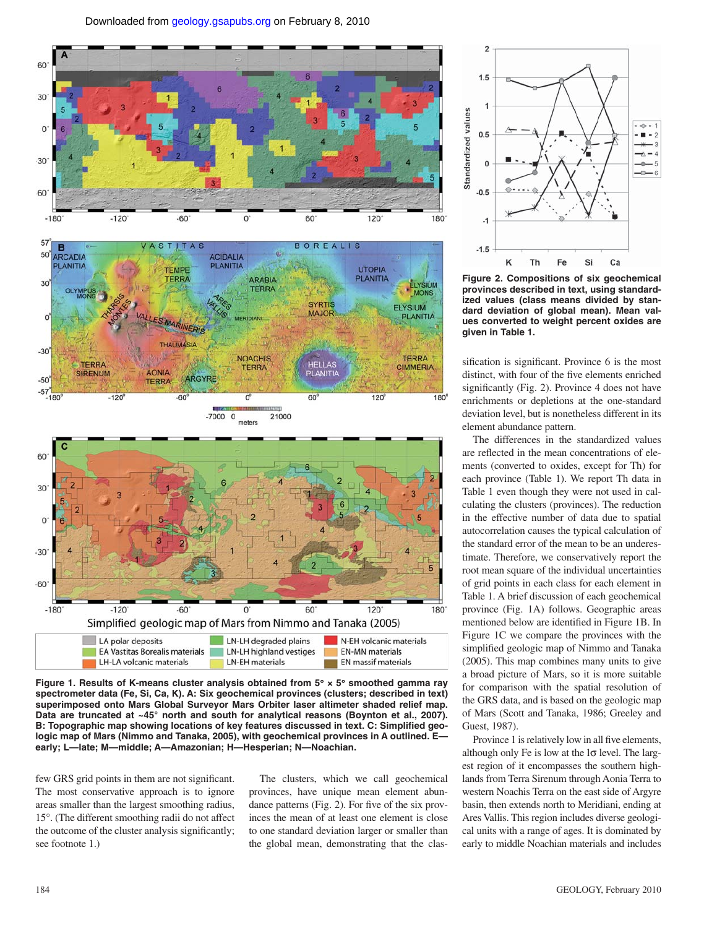

**Figure 1. Results of K-means cluster analysis obtained from 5**° **× 5**° **smoothed gamma ray spectrometer data (Fe, Si, Ca, K). A: Six geochemical provinces (clusters; described in text) superimposed onto Mars Global Surveyor Mars Orbiter laser altimeter shaded relief map.**  Data are truncated at ~45° north and south for analytical reasons (Boynton et al., 2007). B: Topographic map showing locations of key features discussed in text. C: Simplified geo**logic map of Mars (Nimmo and Tanaka, 2005), with geochemical provinces in A outlined. E early; L—late; M—middle; A—Amazonian; H—Hesperian; N—Noachian.** 

few GRS grid points in them are not significant. The most conservative approach is to ignore areas smaller than the largest smoothing radius, 15°. (The different smoothing radii do not affect the outcome of the cluster analysis significantly; see footnote 1.)

The clusters, which we call geochemical provinces, have unique mean element abundance patterns  $(Fig. 2)$ . For five of the six provinces the mean of at least one element is close to one standard deviation larger or smaller than the global mean, demonstrating that the clas-



**Figure 2. Compositions of six geochemical provinces described in text, using standardized values (class means divided by standard deviation of global mean). Mean values converted to weight percent oxides are given in Table 1.**

sification is significant. Province 6 is the most distinct, with four of the five elements enriched significantly (Fig. 2). Province  $4$  does not have enrichments or depletions at the one-standard deviation level, but is nonetheless different in its element abundance pattern.

The differences in the standardized values are reflected in the mean concentrations of elements (converted to oxides, except for Th) for each province (Table 1). We report Th data in Table 1 even though they were not used in calculating the clusters (provinces). The reduction in the effective number of data due to spatial autocorrelation causes the typical calculation of the standard error of the mean to be an underestimate. Therefore, we conservatively report the root mean square of the individual uncertainties of grid points in each class for each element in Table 1. A brief discussion of each geochemical province (Fig. 1A) follows. Geographic areas mentioned below are identified in Figure 1B. In Figure 1C we compare the provinces with the simplified geologic map of Nimmo and Tanaka (2005). This map combines many units to give a broad picture of Mars, so it is more suitable for comparison with the spatial resolution of the GRS data, and is based on the geologic map of Mars (Scott and Tanaka, 1986; Greeley and Guest, 1987).

Province 1 is relatively low in all five elements, although only Fe is low at the  $1\sigma$  level. The largest region of it encompasses the southern highlands from Terra Sirenum through Aonia Terra to western Noachis Terra on the east side of Argyre basin, then extends north to Meridiani, ending at Ares Vallis. This region includes diverse geological units with a range of ages. It is dominated by early to middle Noachian materials and includes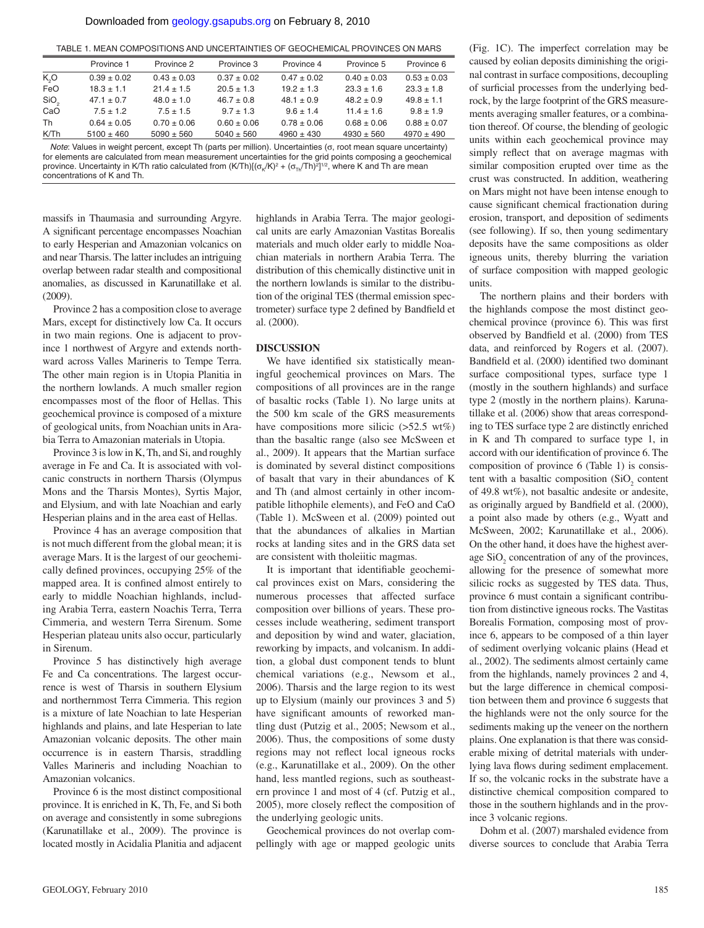TABLE 1. MEAN COMPOSITIONS AND UNCERTAINTIES OF GEOCHEMICAL PROVINCES ON MARS

|                  | Province 1      | Province 2      | Province 3      | Province 4      | Province 5      | Province 6      |
|------------------|-----------------|-----------------|-----------------|-----------------|-----------------|-----------------|
| K,O              | $0.39 \pm 0.02$ | $0.43 \pm 0.03$ | $0.37 \pm 0.02$ | $0.47 \pm 0.02$ | $0.40 \pm 0.03$ | $0.53 \pm 0.03$ |
| <b>FeO</b>       | $18.3 \pm 1.1$  | $21.4 \pm 1.5$  | $20.5 \pm 1.3$  | $19.2 \pm 1.3$  | $23.3 \pm 1.6$  | $23.3 \pm 1.8$  |
| SiO <sub>2</sub> | $47.1 \pm 0.7$  | $48.0 \pm 1.0$  | $46.7 \pm 0.8$  | $48.1 \pm 0.9$  | $48.2 \pm 0.9$  | $49.8 \pm 1.1$  |
| CaO              | $7.5 \pm 1.2$   | $7.5 \pm 1.5$   | $9.7 \pm 1.3$   | $9.6 \pm 1.4$   | $11.4 \pm 1.6$  | $9.8 \pm 1.9$   |
| Th               | $0.64 \pm 0.05$ | $0.70 \pm 0.06$ | $0.60 \pm 0.06$ | $0.78 \pm 0.06$ | $0.68 \pm 0.06$ | $0.88 \pm 0.07$ |
| K/Th             | $5100 \pm 460$  | $5090 \pm 560$  | $5040 \pm 560$  | $4960 \pm 430$  | $4930 \pm 560$  | $4970 \pm 490$  |
|                  |                 |                 |                 |                 |                 |                 |

*Note*: Values in weight percent, except Th (parts per million). Uncertainties (σ, root mean square uncertainty) for elements are calculated from mean measurement uncertainties for the grid points composing a geochemical province. Uncertainty in K/Th ratio calculated from  $(K/Th)[(\sigma_{\rm g}/K)^2 + (\sigma_{\rm Th}/Th)^2]^{1/2}$ , where K and Th are mean concentrations of K and Th.

massifs in Thaumasia and surrounding Argyre. A significant percentage encompasses Noachian to early Hesperian and Amazonian volcanics on and near Tharsis. The latter includes an intriguing overlap between radar stealth and compositional anomalies, as discussed in Karunatillake et al. (2009).

Province 2 has a composition close to average Mars, except for distinctively low Ca. It occurs in two main regions. One is adjacent to province 1 northwest of Argyre and extends northward across Valles Marineris to Tempe Terra. The other main region is in Utopia Planitia in the northern lowlands. A much smaller region encompasses most of the floor of Hellas. This geochemical province is composed of a mixture of geological units, from Noachian units in Arabia Terra to Amazonian materials in Utopia.

Province 3 is low in K, Th, and Si, and roughly average in Fe and Ca. It is associated with volcanic constructs in northern Tharsis (Olympus Mons and the Tharsis Montes), Syrtis Major, and Elysium, and with late Noachian and early Hesperian plains and in the area east of Hellas.

Province 4 has an average composition that is not much different from the global mean; it is average Mars. It is the largest of our geochemically defined provinces, occupying 25% of the mapped area. It is confined almost entirely to early to middle Noachian highlands, including Arabia Terra, eastern Noachis Terra, Terra Cimmeria, and western Terra Sirenum. Some Hesperian plateau units also occur, particularly in Sirenum.

Province 5 has distinctively high average Fe and Ca concentrations. The largest occurrence is west of Tharsis in southern Elysium and northernmost Terra Cimmeria. This region is a mixture of late Noachian to late Hesperian highlands and plains, and late Hesperian to late Amazonian volcanic deposits. The other main occurrence is in eastern Tharsis, straddling Valles Marineris and including Noachian to Amazonian volcanics.

Province 6 is the most distinct compositional province. It is enriched in K, Th, Fe, and Si both on average and consistently in some subregions (Karunatillake et al., 2009). The province is located mostly in Acidalia Planitia and adjacent

highlands in Arabia Terra. The major geological units are early Amazonian Vastitas Borealis materials and much older early to middle Noachian materials in northern Arabia Terra. The distribution of this chemically distinctive unit in the northern lowlands is similar to the distribution of the original TES (thermal emission spectrometer) surface type 2 defined by Bandfield et al. (2000).

#### **DISCUSSION**

We have identified six statistically meaningful geochemical provinces on Mars. The compositions of all provinces are in the range of basaltic rocks (Table 1). No large units at the 500 km scale of the GRS measurements have compositions more silicic  $(52.5 \text{ wt%)}$ than the basaltic range (also see McSween et al., 2009). It appears that the Martian surface is dominated by several distinct compositions of basalt that vary in their abundances of K and Th (and almost certainly in other incompatible lithophile elements), and FeO and CaO (Table 1). McSween et al. (2009) pointed out that the abundances of alkalies in Martian rocks at landing sites and in the GRS data set are consistent with tholeiitic magmas.

It is important that identifiable geochemical provinces exist on Mars, considering the numerous processes that affected surface composition over billions of years. These processes include weathering, sediment transport and deposition by wind and water, glaciation, reworking by impacts, and volcanism. In addition, a global dust component tends to blunt chemical variations (e.g., Newsom et al., 2006). Tharsis and the large region to its west up to Elysium (mainly our provinces 3 and 5) have significant amounts of reworked mantling dust (Putzig et al., 2005; Newsom et al., 2006). Thus, the compositions of some dusty regions may not reflect local igneous rocks (e.g., Karunatillake et al., 2009). On the other hand, less mantled regions, such as southeastern province 1 and most of 4 (cf. Putzig et al., 2005), more closely reflect the composition of the underlying geologic units.

Geochemical provinces do not overlap compellingly with age or mapped geologic units

(Fig. 1C). The imperfect correlation may be caused by eolian deposits diminishing the original contrast in surface compositions, decoupling of surficial processes from the underlying bedrock, by the large footprint of the GRS measurements averaging smaller features, or a combination thereof. Of course, the blending of geologic units within each geochemical province may simply reflect that on average magmas with similar composition erupted over time as the crust was constructed. In addition, weathering on Mars might not have been intense enough to cause significant chemical fractionation during erosion, transport, and deposition of sediments (see following). If so, then young sedimentary deposits have the same compositions as older igneous units, thereby blurring the variation of surface composition with mapped geologic units.

The northern plains and their borders with the highlands compose the most distinct geochemical province (province 6). This was first observed by Bandfield et al. (2000) from TES data, and reinforced by Rogers et al. (2007). Bandfield et al. (2000) identified two dominant surface compositional types, surface type 1 (mostly in the southern highlands) and surface type 2 (mostly in the northern plains). Karunatillake et al. (2006) show that areas corresponding to TES surface type 2 are distinctly enriched in K and Th compared to surface type 1, in accord with our identification of province 6. The composition of province 6 (Table 1) is consistent with a basaltic composition  $(SiO_2)$  content of 49.8 wt%), not basaltic andesite or andesite, as originally argued by Bandfield et al. (2000), a point also made by others (e.g., Wyatt and McSween, 2002; Karunatillake et al., 2006). On the other hand, it does have the highest average  $SiO<sub>2</sub>$  concentration of any of the provinces, allowing for the presence of somewhat more silicic rocks as suggested by TES data. Thus, province 6 must contain a significant contribution from distinctive igneous rocks. The Vastitas Borealis Formation, composing most of province 6, appears to be composed of a thin layer of sediment overlying volcanic plains (Head et al., 2002). The sediments almost certainly came from the highlands, namely provinces 2 and 4, but the large difference in chemical composition between them and province 6 suggests that the highlands were not the only source for the sediments making up the veneer on the northern plains. One explanation is that there was considerable mixing of detrital materials with underlying lava flows during sediment emplacement. If so, the volcanic rocks in the substrate have a distinctive chemical composition compared to those in the southern highlands and in the province 3 volcanic regions.

Dohm et al. (2007) marshaled evidence from diverse sources to conclude that Arabia Terra